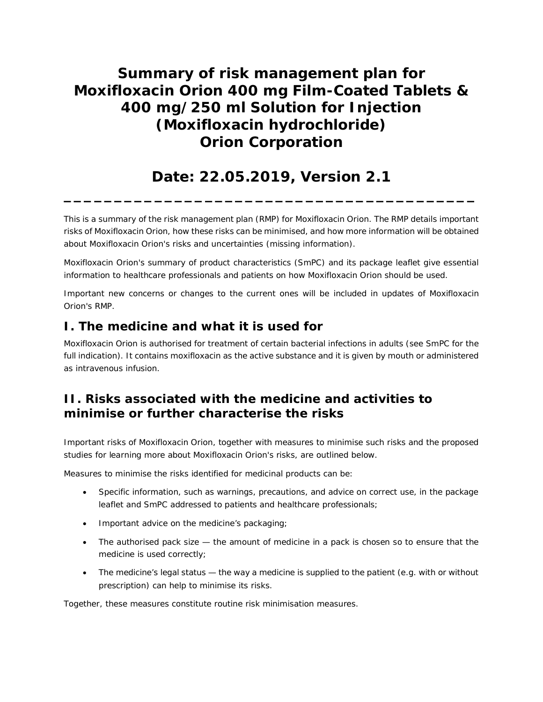# **Summary of risk management plan for Moxifloxacin Orion 400 mg Film-Coated Tablets & 400 mg/250 ml Solution for Injection (Moxifloxacin hydrochloride) Orion Corporation**

## **Date: 22.05.2019, Version 2.1**

**\_\_\_\_\_\_\_\_\_\_\_\_\_\_\_\_\_\_\_\_\_\_\_\_\_\_\_\_\_\_\_\_\_\_\_\_\_\_\_\_\_**

This is a summary of the risk management plan (RMP) for Moxifloxacin Orion. The RMP details important risks of Moxifloxacin Orion, how these risks can be minimised, and how more information will be obtained about Moxifloxacin Orion's risks and uncertainties (missing information).

Moxifloxacin Orion's summary of product characteristics (SmPC) and its package leaflet give essential information to healthcare professionals and patients on how Moxifloxacin Orion should be used.

Important new concerns or changes to the current ones will be included in updates of Moxifloxacin Orion's RMP.

### **I. The medicine and what it is used for**

Moxifloxacin Orion is authorised for treatment of certain bacterial infections in adults (see SmPC for the full indication). It contains moxifloxacin as the active substance and it is given by mouth or administered as intravenous infusion.

### **II. Risks associated with the medicine and activities to minimise or further characterise the risks**

Important risks of Moxifloxacin Orion, together with measures to minimise such risks and the proposed studies for learning more about Moxifloxacin Orion's risks, are outlined below.

Measures to minimise the risks identified for medicinal products can be:

- · Specific information, such as warnings, precautions, and advice on correct use, in the package leaflet and SmPC addressed to patients and healthcare professionals;
- · Important advice on the medicine's packaging;
- The authorised pack size the amount of medicine in a pack is chosen so to ensure that the medicine is used correctly;
- The medicine's legal status the way a medicine is supplied to the patient (e.g. with or without prescription) can help to minimise its risks.

Together, these measures constitute *routine risk minimisation* measures.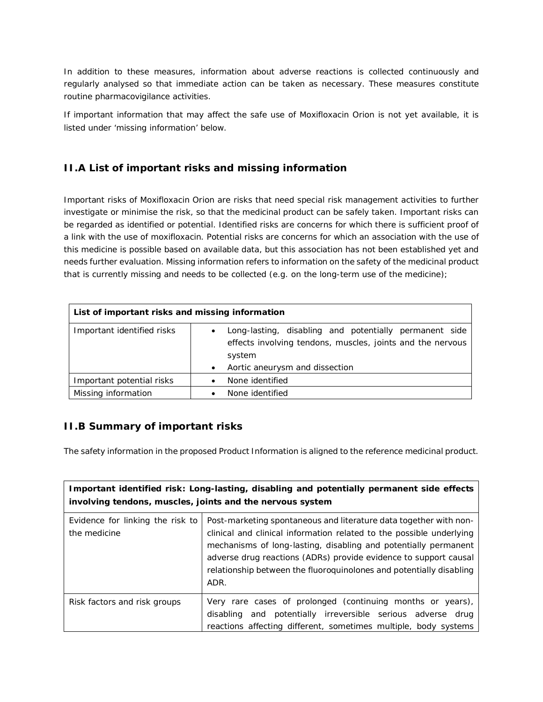In addition to these measures, information about adverse reactions is collected continuously and regularly analysed so that immediate action can be taken as necessary. These measures constitute *routine pharmacovigilance activities*.

If important information that may affect the safe use of Moxifloxacin Orion is not yet available, it is listed under 'missing information' below.

#### **II.A List of important risks and missing information**

Important risks of Moxifloxacin Orion are risks that need special risk management activities to further investigate or minimise the risk, so that the medicinal product can be safely taken. Important risks can be regarded as identified or potential. Identified risks are concerns for which there is sufficient proof of a link with the use of moxifloxacin. Potential risks are concerns for which an association with the use of this medicine is possible based on available data, but this association has not been established yet and needs further evaluation. Missing information refers to information on the safety of the medicinal product that is currently missing and needs to be collected (e.g. on the long-term use of the medicine);

| List of important risks and missing information |                                                                                                                                                                  |  |
|-------------------------------------------------|------------------------------------------------------------------------------------------------------------------------------------------------------------------|--|
| Important identified risks                      | Long-lasting, disabling and potentially permanent side<br>effects involving tendons, muscles, joints and the nervous<br>system<br>Aortic aneurysm and dissection |  |
| Important potential risks                       | None identified                                                                                                                                                  |  |
| Missing information                             | None identified                                                                                                                                                  |  |

#### **II.B Summary of important risks**

The safety information in the proposed Product Information is aligned to the reference medicinal product.

| Important identified risk: Long-lasting, disabling and potentially permanent side effects<br>involving tendons, muscles, joints and the nervous system |                                                                                                                                                                                                                                                                                                                                                                 |  |
|--------------------------------------------------------------------------------------------------------------------------------------------------------|-----------------------------------------------------------------------------------------------------------------------------------------------------------------------------------------------------------------------------------------------------------------------------------------------------------------------------------------------------------------|--|
| Evidence for linking the risk to<br>the medicine                                                                                                       | Post-marketing spontaneous and literature data together with non-<br>clinical and clinical information related to the possible underlying<br>mechanisms of long-lasting, disabling and potentially permanent<br>adverse drug reactions (ADRs) provide evidence to support causal<br>relationship between the fluoroquinolones and potentially disabling<br>ADR. |  |
| Risk factors and risk groups                                                                                                                           | Very rare cases of prolonged (continuing months or years),<br>disabling and potentially irreversible serious adverse drug<br>reactions affecting different, sometimes multiple, body systems                                                                                                                                                                    |  |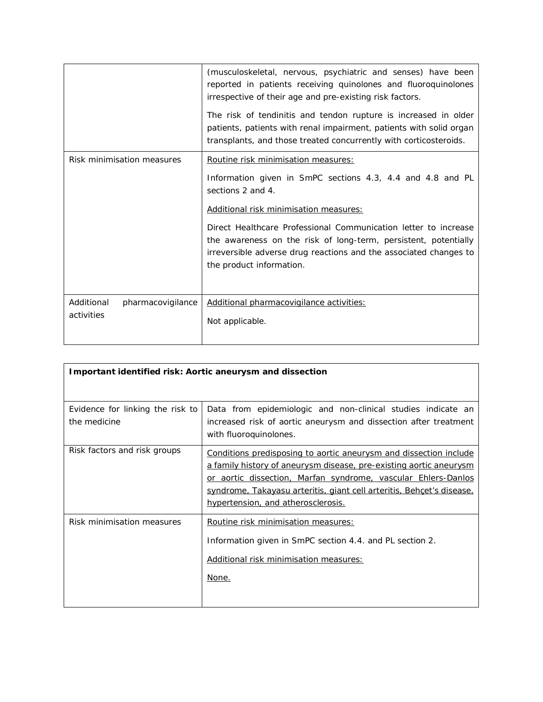|                                 | (musculoskeletal, nervous, psychiatric and senses) have been<br>reported in patients receiving quinolones and fluoroquinolones<br>irrespective of their age and pre-existing risk factors.<br>The risk of tendinitis and tendon rupture is increased in older<br>patients, patients with renal impairment, patients with solid organ<br>transplants, and those treated concurrently with corticosteroids. |
|---------------------------------|-----------------------------------------------------------------------------------------------------------------------------------------------------------------------------------------------------------------------------------------------------------------------------------------------------------------------------------------------------------------------------------------------------------|
| Risk minimisation measures      | <b>Routine risk minimisation measures:</b>                                                                                                                                                                                                                                                                                                                                                                |
|                                 | Information given in SmPC sections 4.3, 4.4 and 4.8 and PL<br>sections 2 and 4.                                                                                                                                                                                                                                                                                                                           |
|                                 | Additional risk minimisation measures:                                                                                                                                                                                                                                                                                                                                                                    |
|                                 | Direct Healthcare Professional Communication letter to increase<br>the awareness on the risk of long-term, persistent, potentially<br>irreversible adverse drug reactions and the associated changes to<br>the product information.                                                                                                                                                                       |
| Additional<br>pharmacovigilance | Additional pharmacovigilance activities:                                                                                                                                                                                                                                                                                                                                                                  |
| activities                      | Not applicable.                                                                                                                                                                                                                                                                                                                                                                                           |

| Important identified risk: Aortic aneurysm and dissection |                                                                                                                                                                                                                                                                                                                                       |  |
|-----------------------------------------------------------|---------------------------------------------------------------------------------------------------------------------------------------------------------------------------------------------------------------------------------------------------------------------------------------------------------------------------------------|--|
|                                                           |                                                                                                                                                                                                                                                                                                                                       |  |
| Evidence for linking the risk to<br>the medicine          | Data from epidemiologic and non-clinical studies indicate an<br>increased risk of aortic aneurysm and dissection after treatment<br>with fluoroquinolones.                                                                                                                                                                            |  |
| Risk factors and risk groups                              | <b>Conditions predisposing to aortic aneurysm and dissection include</b><br><u>a family history of aneurysm disease, pre-existing aortic aneurysm</u><br>or aortic dissection, Marfan syndrome, vascular Ehlers-Danlos<br>syndrome, Takayasu arteritis, giant cell arteritis, Behçet's disease,<br>hypertension, and atherosclerosis. |  |
| Risk minimisation measures                                | Routine risk minimisation measures:<br>Information given in SmPC section 4.4. and PL section 2.<br>Additional risk minimisation measures:<br>None.                                                                                                                                                                                    |  |